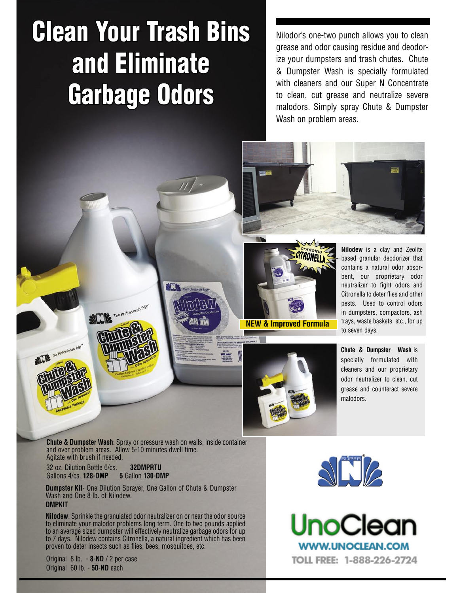## Clean Your Trash Bins and Eliminate Garbage Odors

Nilodor's one-two punch allows you to clean grease and odor causing residue and deodorize your dumpsters and trash chutes. Chute & Dumpster Wash is specially formulated with cleaners and our Super N Concentrate to clean, cut grease and neutralize severe malodors. Simply spray Chute & Dumpster Wash on problem areas.





**Nilodew** is a clay and Zeolite based granular deodorizer that contains a natural odor absorbent, our proprietary odor neutralizer to fight odors and Citronella to deter flies and other pests. Used to control odors in dumpsters, compactors, ash trays, waste baskets, etc., for up



**Chute & Dumpster Wash** is specially formulated with cleaners and our proprietary odor neutralizer to clean, cut grease and counteract severe malodors.

**Chute & Dumpster Wash**: Spray or pressure wash on walls, inside container and over problem areas. Allow 5-10 minutes dwell time. Agitate with brush if needed.

32 oz. Dilution Bottle 6/cs. **32DMPRTU** Gallons 4/cs. **128-DMP 5** Gallon **130-DMP**

**Dumpster Kit**- One Dilution Sprayer, One Gallon of Chute & Dumpster Wash and One 8 lb. of Nilodew. **DMPKIT**

**Nilodew**: Sprinkle the granulated odor neutralizer on or near the odor source to eliminate your malodor problems long term. One to two pounds applied to an average sized dumpster will effectively neutralize garbage odors for up to 7 days. Nilodew contains Citronella, a natural ingredient which has been proven to deter insects such as flies, bees, mosquitoes, etc.

Original 8 lb. - **8-ND** / 2 per case Original 60 lb. - **50-ND** each